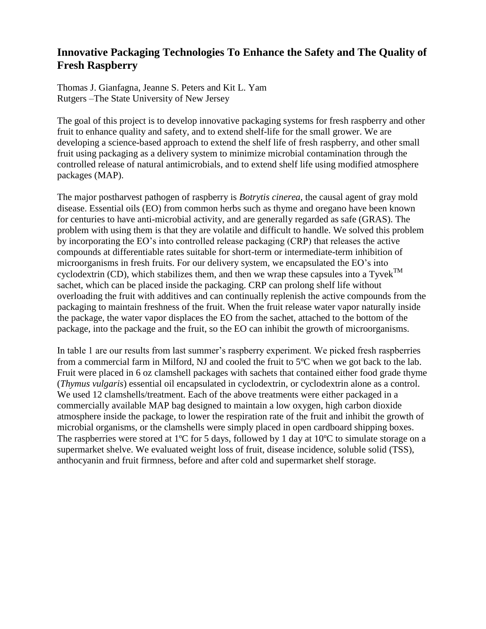## **Innovative Packaging Technologies To Enhance the Safety and The Quality of Fresh Raspberry**

Thomas J. Gianfagna, Jeanne S. Peters and Kit L. Yam Rutgers –The State University of New Jersey

The goal of this project is to develop innovative packaging systems for fresh raspberry and other fruit to enhance quality and safety, and to extend shelf-life for the small grower. We are developing a science-based approach to extend the shelf life of fresh raspberry, and other small fruit using packaging as a delivery system to minimize microbial contamination through the controlled release of natural antimicrobials, and to extend shelf life using modified atmosphere packages (MAP).

The major postharvest pathogen of raspberry is *Botrytis cinerea*, the causal agent of gray mold disease. Essential oils (EO) from common herbs such as thyme and oregano have been known for centuries to have anti-microbial activity, and are generally regarded as safe (GRAS). The problem with using them is that they are volatile and difficult to handle. We solved this problem by incorporating the EO's into controlled release packaging (CRP) that releases the active compounds at differentiable rates suitable for short-term or intermediate-term inhibition of microorganisms in fresh fruits. For our delivery system, we encapsulated the EO's into cyclodextrin (CD), which stabilizes them, and then we wrap these capsules into a Tyvek<sup>TM</sup> sachet, which can be placed inside the packaging. CRP can prolong shelf life without overloading the fruit with additives and can continually replenish the active compounds from the packaging to maintain freshness of the fruit. When the fruit release water vapor naturally inside the package, the water vapor displaces the EO from the sachet, attached to the bottom of the package, into the package and the fruit, so the EO can inhibit the growth of microorganisms.

In table 1 are our results from last summer's raspberry experiment. We picked fresh raspberries from a commercial farm in Milford, NJ and cooled the fruit to 5ºC when we got back to the lab. Fruit were placed in 6 oz clamshell packages with sachets that contained either food grade thyme (*Thymus vulgaris*) essential oil encapsulated in cyclodextrin, or cyclodextrin alone as a control. We used 12 clamshells/treatment. Each of the above treatments were either packaged in a commercially available MAP bag designed to maintain a low oxygen, high carbon dioxide atmosphere inside the package, to lower the respiration rate of the fruit and inhibit the growth of microbial organisms, or the clamshells were simply placed in open cardboard shipping boxes. The raspberries were stored at 1<sup>o</sup>C for 5 days, followed by 1 day at 10<sup>o</sup>C to simulate storage on a supermarket shelve. We evaluated weight loss of fruit, disease incidence, soluble solid (TSS), anthocyanin and fruit firmness, before and after cold and supermarket shelf storage.